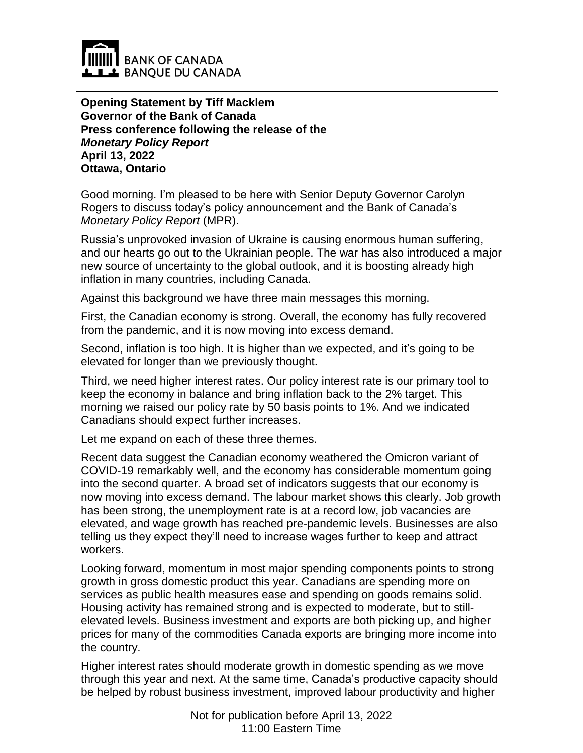

**Opening Statement by Tiff Macklem Governor of the Bank of Canada Press conference following the release of the**  *Monetary Policy Report* **April 13, 2022 Ottawa, Ontario**

Good morning. I'm pleased to be here with Senior Deputy Governor Carolyn Rogers to discuss today's policy announcement and the Bank of Canada's *Monetary Policy Report* (MPR).

Russia's unprovoked invasion of Ukraine is causing enormous human suffering, and our hearts go out to the Ukrainian people. The war has also introduced a major new source of uncertainty to the global outlook, and it is boosting already high inflation in many countries, including Canada.

Against this background we have three main messages this morning.

First, the Canadian economy is strong. Overall, the economy has fully recovered from the pandemic, and it is now moving into excess demand.

Second, inflation is too high. It is higher than we expected, and it's going to be elevated for longer than we previously thought.

Third, we need higher interest rates. Our policy interest rate is our primary tool to keep the economy in balance and bring inflation back to the 2% target. This morning we raised our policy rate by 50 basis points to 1%. And we indicated Canadians should expect further increases.

Let me expand on each of these three themes.

Recent data suggest the Canadian economy weathered the Omicron variant of COVID-19 remarkably well, and the economy has considerable momentum going into the second quarter. A broad set of indicators suggests that our economy is now moving into excess demand. The labour market shows this clearly. Job growth has been strong, the unemployment rate is at a record low, job vacancies are elevated, and wage growth has reached pre-pandemic levels. Businesses are also telling us they expect they'll need to increase wages further to keep and attract workers.

Looking forward, momentum in most major spending components points to strong growth in gross domestic product this year. Canadians are spending more on services as public health measures ease and spending on goods remains solid. Housing activity has remained strong and is expected to moderate, but to stillelevated levels. Business investment and exports are both picking up, and higher prices for many of the commodities Canada exports are bringing more income into the country.

Higher interest rates should moderate growth in domestic spending as we move through this year and next. At the same time, Canada's productive capacity should be helped by robust business investment, improved labour productivity and higher

> Not for publication before April 13, 2022 11:00 Eastern Time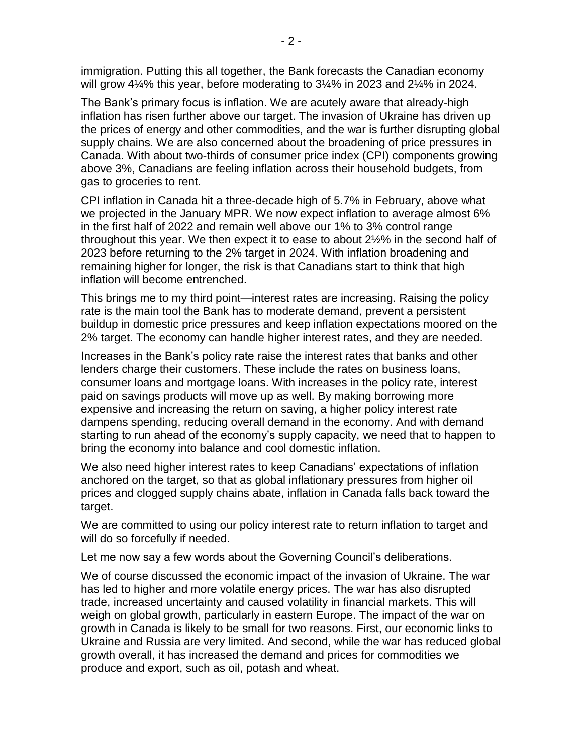immigration. Putting this all together, the Bank forecasts the Canadian economy will grow 4¼% this year, before moderating to 3¼% in 2023 and 2¼% in 2024.

The Bank's primary focus is inflation. We are acutely aware that already-high inflation has risen further above our target. The invasion of Ukraine has driven up the prices of energy and other commodities, and the war is further disrupting global supply chains. We are also concerned about the broadening of price pressures in Canada. With about two-thirds of consumer price index (CPI) components growing above 3%, Canadians are feeling inflation across their household budgets, from gas to groceries to rent.

CPI inflation in Canada hit a three-decade high of 5.7% in February, above what we projected in the January MPR. We now expect inflation to average almost 6% in the first half of 2022 and remain well above our 1% to 3% control range throughout this year. We then expect it to ease to about 2½% in the second half of 2023 before returning to the 2% target in 2024. With inflation broadening and remaining higher for longer, the risk is that Canadians start to think that high inflation will become entrenched.

This brings me to my third point—interest rates are increasing. Raising the policy rate is the main tool the Bank has to moderate demand, prevent a persistent buildup in domestic price pressures and keep inflation expectations moored on the 2% target. The economy can handle higher interest rates, and they are needed.

Increases in the Bank's policy rate raise the interest rates that banks and other lenders charge their customers. These include the rates on business loans, consumer loans and mortgage loans. With increases in the policy rate, interest paid on savings products will move up as well. By making borrowing more expensive and increasing the return on saving, a higher policy interest rate dampens spending, reducing overall demand in the economy. And with demand starting to run ahead of the economy's supply capacity, we need that to happen to bring the economy into balance and cool domestic inflation.

We also need higher interest rates to keep Canadians' expectations of inflation anchored on the target, so that as global inflationary pressures from higher oil prices and clogged supply chains abate, inflation in Canada falls back toward the target.

We are committed to using our policy interest rate to return inflation to target and will do so forcefully if needed.

Let me now say a few words about the Governing Council's deliberations.

We of course discussed the economic impact of the invasion of Ukraine. The war has led to higher and more volatile energy prices. The war has also disrupted trade, increased uncertainty and caused volatility in financial markets. This will weigh on global growth, particularly in eastern Europe. The impact of the war on growth in Canada is likely to be small for two reasons. First, our economic links to Ukraine and Russia are very limited. And second, while the war has reduced global growth overall, it has increased the demand and prices for commodities we produce and export, such as oil, potash and wheat.